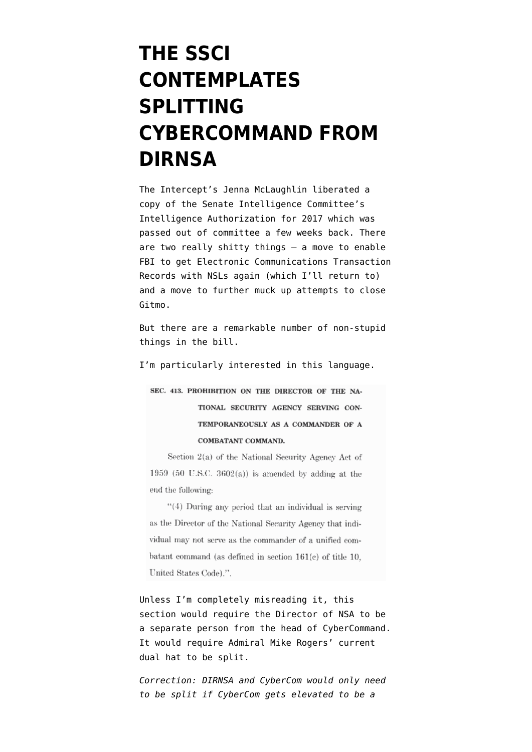## **[THE SSCI](https://www.emptywheel.net/2016/06/10/the-ssci-contemplates-splitting-cybercommand-from-dirnsa/) [CONTEMPLATES](https://www.emptywheel.net/2016/06/10/the-ssci-contemplates-splitting-cybercommand-from-dirnsa/) [SPLITTING](https://www.emptywheel.net/2016/06/10/the-ssci-contemplates-splitting-cybercommand-from-dirnsa/) [CYBERCOMMAND FROM](https://www.emptywheel.net/2016/06/10/the-ssci-contemplates-splitting-cybercommand-from-dirnsa/) [DIRNSA](https://www.emptywheel.net/2016/06/10/the-ssci-contemplates-splitting-cybercommand-from-dirnsa/)**

The Intercept's Jenna McLaughlin [liberated a](https://www.documentcloud.org/documents/2854048-S-3017.html) [copy](https://www.documentcloud.org/documents/2854048-S-3017.html) of the Senate Intelligence Committee's Intelligence Authorization for 2017 which was passed out of committee a few weeks back. There are two really shitty things — a move to enable FBI to get Electronic Communications Transaction Records with NSLs again (which I'll return to) and a move to further muck up attempts to close Gitmo.

But there are a remarkable number of non-stupid things in the bill.

I'm particularly interested in this language.

SEC. 413. PROHIBITION ON THE DIRECTOR OF THE NA-TIONAL SECURITY AGENCY SERVING CON-TEMPORANEOUSLY AS A COMMANDER OF A **COMBATANT COMMAND.** 

Section 2(a) of the National Security Agency Act of 1959 (50 U.S.C. 3602(a)) is amended by adding at the end the following:

 $"$ (4) During any period that an individual is serving as the Director of the National Security Agency that individual may not serve as the commander of a unified combatant command (as defined in section 161(c) of title 10. United States Code).".

Unless I'm completely misreading it, this section would require the Director of NSA to be a separate person from the head of CyberCommand. It would require Admiral Mike Rogers' current dual hat to be split.

*Correction: DIRNSA and CyberCom would only need to be split if CyberCom gets elevated to be a*